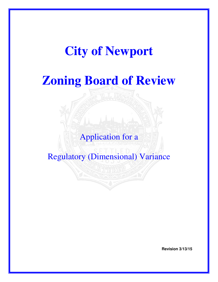# **City of Newport**

# **Zoning Board of Review**

# Application for a

Regulatory (Dimensional) Variance

**Revision 3/13/15**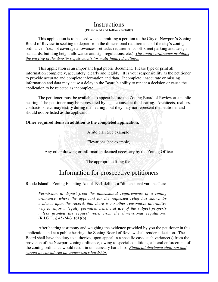### Instructions

(Please read and follow carefully)

 This application is to be used when submitting a petition to the City of Newport's Zoning Board of Review in seeking to depart from the dimensional requirements of the city's zoning ordinance. (i.e., lot coverage allowances, setbacks requirements, off-street parking and design standards, building height allowance and sign regulations, etc.) *The zoning ordinance prohibits the varying of the density requirements for multi-family dwellings.*

 This application is an important legal public document. Please type or print all information completely, accurately, clearly and legibly. It is your responsibility as the petitioner to provide accurate and complete information and data. Incomplete, inaccurate or missing information and data may cause a delay in the Board's ability to render a decision or cause the application to be rejected as incomplete.

 The petitioner must be available to appear before the Zoning Board of Review at a public hearing. The petitioner may be represented by legal counsel at this hearing. Architects, realtors, contractors, etc. may testify during the hearing , but they may not represent the petitioner and should not be listed as the applicant.

#### **Other required items in addition to the completed application:**

A site plan (see example)

Elevations (see example)

Any other drawing or information deemed necessary by the Zoning Officer

The appropriate filing fee.

### Information for prospective petitioners

Rhode Island's Zoning Enabling Act of 1991 defines a "dimensional variance" as:

*Permission to depart from the dimensional requirements of a zoning ordinance, where the applicant for the requested relief has shown by evidence upon the record, that there is no other reasonable alternative way to enjoy a legally permitted beneficial use of the subject property unless granted the request relief from the dimensional regulations.*  $(R.I.G.L. § 45-24-31(61)(b))$ 

 After hearing testimony and weighing the evidence provided by you the petitioner in this application and at a public hearing, the Zoning Board of Review shall render a decision. The Board shall have the duty to authorize, upon appeal in a specific case, such variance(s) from the provision of the Newport zoning ordinance, owing to special conditions, a literal enforcement of the zoning ordinance would result in unnecessary hardship*. Financial detriment shall not and cannot be considered an unnecessary hardship.*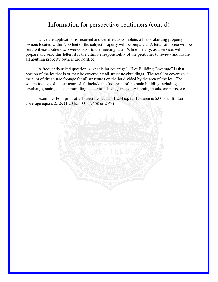## Information for perspective petitioners (cont'd)

Once the application is received and certified as complete, a list of abutting property owners located within 200 feet of the subject property will be prepared. A letter of notice will be sent to these abutters two weeks prior to the meeting date. While the city, as a service, will prepare and send this letter, it is the ultimate responsibility of the petitioner to review and insure all abutting property owners are notified.

A frequently asked question is what is lot coverage? "Lot Building Coverage" is that portion of the lot that is or may be covered by all structures/buildings. The total lot coverage is the sum of the square footage for all structures on the lot divided by the area of the lot. The square footage of the structure shall include the foot print of the main building including overhangs, stairs, decks, protruding balconies, sheds, garages, swimming pools, car ports, etc.

Example: Foot print of all structures equals 1,234 sq. ft. Lot area is 5,000 sq. ft. Lot coverage equals  $25\%$ .  $(1,234/5000) = .2468$  or  $25\%$ )

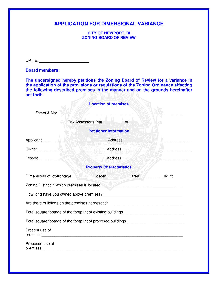#### **APPLICATION FOR DIMENSIONAL VARIANCE**

**CITY OF NEWPORT, RI ZONING BOARD OF REVIEW** 

DATE: \_\_\_\_\_\_\_\_\_\_\_\_\_\_\_\_\_\_\_\_\_

**Board members:** 

**The undersigned hereby petitions the Zoning Board of Review for a variance in the application of the provisions or regulations of the Zoning Ordinance affecting the following described premises in the manner and on the grounds hereinafter set forth.** 

|                 | <b>Location of premises</b>                                                                                                                                                                                                                                                                                         |                           |  |
|-----------------|---------------------------------------------------------------------------------------------------------------------------------------------------------------------------------------------------------------------------------------------------------------------------------------------------------------------|---------------------------|--|
| Street & No:    |                                                                                                                                                                                                                                                                                                                     |                           |  |
|                 | Tax Assessor's Plat Lot Lot                                                                                                                                                                                                                                                                                         |                           |  |
|                 | <b>Petitioner Information</b>                                                                                                                                                                                                                                                                                       |                           |  |
|                 | $\frac{1}{2}$ $\frac{1}{2}$ $\frac{1}{2}$ $\frac{1}{2}$ $\frac{1}{2}$ $\frac{1}{2}$ $\frac{1}{2}$ $\frac{1}{2}$ $\frac{1}{2}$ $\frac{1}{2}$ $\frac{1}{2}$ $\frac{1}{2}$ $\frac{1}{2}$ $\frac{1}{2}$ $\frac{1}{2}$ $\frac{1}{2}$ $\frac{1}{2}$ $\frac{1}{2}$ $\frac{1}{2}$ $\frac{1}{2}$ $\frac{1}{2}$ $\frac{1}{2}$ |                           |  |
|                 | Owner <b>MARK WE CET</b>                                                                                                                                                                                                                                                                                            | Address <b>Management</b> |  |
|                 |                                                                                                                                                                                                                                                                                                                     |                           |  |
|                 | <b>Property Characteristics</b>                                                                                                                                                                                                                                                                                     |                           |  |
|                 | Dimensions of lot-frontage depth depth area sq. ft.                                                                                                                                                                                                                                                                 |                           |  |
|                 | Zoning District in which premises is located <b>All Accords</b> 2014 1997 and 2014 1997 and 2014 1997 and 2014 1997 and 2014 1997 and 2014 1997 and 2014 1997 and 2014 1997 and 2014 1997 and 2014 1997 and 2014 1997 and 2014 1997                                                                                 |                           |  |
|                 | How long have you owned above premises? The manufacturer of the state of the state of the state of the state of the state of the state of the state of the state of the state of the state of the state of the state of the st                                                                                      |                           |  |
|                 | Are there buildings on the premises at present?                                                                                                                                                                                                                                                                     |                           |  |
|                 |                                                                                                                                                                                                                                                                                                                     |                           |  |
|                 | Total square footage of the footprint of proposed buildings_____________________                                                                                                                                                                                                                                    |                           |  |
| Present use of  |                                                                                                                                                                                                                                                                                                                     |                           |  |
| Proposed use of |                                                                                                                                                                                                                                                                                                                     |                           |  |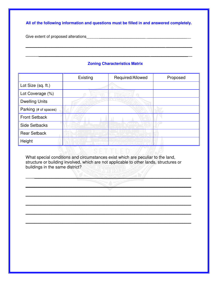**All of the following information and questions must be filled in and answered completely.** 

**\_\_\_\_\_\_\_\_\_\_\_\_\_\_\_\_\_\_\_\_\_\_\_\_\_\_\_\_\_\_\_\_\_\_\_\_\_\_\_\_\_\_\_\_\_\_\_\_\_\_\_\_\_\_\_\_\_\_\_\_\_\_\_\_ \_\_\_\_\_\_\_\_\_\_\_\_** 

**\_\_\_\_\_\_\_\_\_\_\_\_\_\_\_\_\_\_\_\_\_\_\_\_\_\_\_\_\_\_\_\_\_\_\_\_\_\_\_\_\_\_\_\_\_\_\_\_\_\_\_\_\_\_\_\_\_ \_\_\_\_\_\_\_\_\_\_\_\_\_\_\_\_\_\_\_** 

Give extent of proposed alterations **EXALGER 2008** 2014 12:00 12:00 12:00 12:00 12:00 12:00 12:00 12:00 12:00 12:00 12:00 12:00 12:00 12:00 12:00 12:00 12:00 12:00 12:00 12:00 12:00 12:00 12:00 12:00 12:00 12:00 12:00 12:0

#### **Zoning Characteristics Matrix**

|                       | Existing | Required/Allowed | Proposed |
|-----------------------|----------|------------------|----------|
| Lot Size (sq. ft.)    |          |                  |          |
| Lot Coverage (%)      |          |                  |          |
| <b>Dwelling Units</b> |          |                  |          |
| Parking (# of spaces) |          |                  |          |
| <b>Front Setback</b>  |          |                  |          |
| <b>Side Setbacks</b>  |          |                  |          |
| <b>Rear Setback</b>   |          |                  |          |
| Height                |          |                  |          |

What special conditions and circumstances exist which are peculiar to the land, structure or building involved, which are not applicable to other lands, structures or buildings in the same district?

**\_\_\_\_\_\_\_\_\_\_\_\_\_\_\_\_\_\_\_\_\_\_\_\_\_\_\_\_\_\_\_\_\_\_\_\_\_\_\_\_\_\_\_\_\_\_\_\_\_\_\_\_\_\_\_\_\_\_\_\_\_\_\_\_\_\_\_\_\_\_\_\_\_\_\_\_** 

**\_\_\_\_\_\_\_\_\_\_\_\_\_\_\_\_\_\_\_\_\_\_\_\_\_\_\_\_\_\_\_\_\_\_\_\_\_\_\_\_\_\_\_\_\_\_\_\_\_\_\_\_\_\_\_\_\_\_\_\_\_\_\_\_\_\_\_\_\_\_\_\_\_\_\_\_** 

**\_\_\_\_\_\_\_\_\_\_\_\_\_\_\_\_\_\_\_\_\_\_\_\_\_\_\_\_\_\_\_\_\_\_\_\_\_\_\_\_\_\_\_\_\_\_\_\_\_\_\_\_\_\_\_\_\_\_\_\_\_\_\_\_\_\_\_\_\_\_\_\_\_\_\_\_** 

**\_\_\_\_\_\_\_\_\_\_\_\_\_\_\_\_\_\_\_\_\_\_\_\_\_\_\_\_\_\_\_\_\_\_\_\_\_\_\_\_\_\_\_\_\_\_\_\_\_\_\_\_\_\_\_\_\_\_\_\_\_\_\_\_\_\_\_\_\_\_\_\_\_\_\_\_** 

**\_\_\_\_\_\_\_\_\_\_\_\_\_\_\_\_\_\_\_\_\_\_\_\_\_\_\_\_\_\_\_\_\_\_\_\_\_\_\_\_\_\_\_\_\_\_\_\_\_\_\_\_\_\_\_\_\_\_\_\_\_\_\_\_\_\_\_\_\_\_\_\_\_\_\_\_** 

**\_\_\_\_\_\_\_\_\_\_\_\_\_\_\_\_\_\_\_\_\_\_\_\_\_\_\_\_\_\_\_\_\_\_\_\_\_\_\_\_\_\_\_\_\_\_\_\_\_\_\_\_\_\_\_\_\_\_\_\_\_\_\_\_\_\_\_\_\_\_\_\_\_\_\_\_**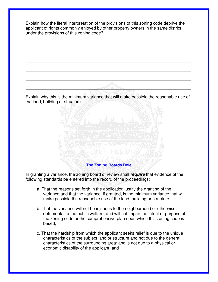Explain how the literal interpretation of the provisions of this zoning code deprive the applicant of rights commonly enjoyed by other property owners in the same district under the provisions of this zoning code?

**\_\_\_\_\_\_\_\_\_\_\_\_\_\_\_\_\_\_\_\_\_\_\_\_\_\_\_\_\_\_\_\_\_\_\_\_\_\_\_\_\_\_\_\_\_\_\_\_\_\_\_\_\_\_\_\_\_\_\_\_\_\_\_\_\_\_\_\_\_\_\_\_\_\_\_\_** 

**\_\_\_\_\_\_\_\_\_\_\_\_\_\_\_\_\_\_\_\_\_\_\_\_\_\_\_\_\_\_\_\_\_\_\_\_\_\_\_\_\_\_\_\_\_\_\_\_\_\_\_\_\_\_\_\_\_\_\_\_\_\_\_\_\_\_\_\_\_\_\_\_\_\_\_\_** 

**\_\_\_\_\_\_\_\_\_\_\_\_\_\_\_\_\_\_\_\_\_\_\_\_\_\_\_\_\_\_\_\_\_\_\_\_\_\_\_\_\_\_\_\_\_\_\_\_\_\_\_\_\_\_\_\_\_\_\_\_\_\_\_\_\_\_\_\_\_\_\_\_\_\_\_\_** 

**\_\_\_\_\_\_\_\_\_\_\_\_\_\_\_\_\_\_\_\_\_\_\_\_\_\_\_\_\_\_\_\_\_\_\_\_\_\_\_\_\_\_\_\_\_\_\_\_\_\_\_\_\_\_\_\_\_\_\_\_\_\_\_\_\_\_\_\_\_\_\_\_\_\_\_\_** 

**\_\_\_\_\_\_\_\_\_\_\_\_\_\_\_\_\_\_\_\_\_\_\_\_\_\_\_\_\_\_\_\_\_\_\_\_\_\_\_\_\_\_\_\_\_\_\_\_\_\_\_\_\_\_\_\_\_\_\_\_\_\_\_\_\_\_\_\_\_\_\_\_\_\_\_\_** 

 $\mathcal{L}_\text{A}$ 

Explain why this is the minimum variance that will make possible the reasonable use of the land, building or structure.

 $\frac{1}{2}$ 

**\_\_\_\_\_\_\_\_\_\_\_\_\_\_\_\_\_\_\_\_\_\_\_\_\_\_\_\_\_\_\_\_\_\_\_\_\_\_\_\_\_\_\_\_\_\_\_\_\_\_\_\_\_\_\_\_\_\_\_\_\_\_\_\_\_\_\_\_\_\_\_\_\_\_\_\_** 

**\_\_\_\_\_\_\_\_\_\_\_\_\_\_\_\_\_\_\_\_\_\_\_\_\_\_\_\_\_\_\_\_\_\_\_\_\_\_\_\_\_\_\_\_\_\_\_\_\_\_\_\_\_\_\_\_\_\_\_\_\_\_\_\_\_\_\_\_\_\_\_\_\_\_\_\_** 

**\_\_\_\_\_\_\_\_\_\_\_\_\_\_\_\_\_\_\_\_\_\_\_\_\_\_\_\_\_\_\_\_\_\_\_\_\_\_\_\_\_\_\_\_\_\_\_\_\_\_\_\_\_\_\_\_\_\_\_\_\_\_\_\_\_\_\_\_\_\_\_\_\_\_\_\_** 

**\_\_\_\_\_\_\_\_\_\_\_\_\_\_\_\_\_\_\_\_\_\_\_\_\_\_\_\_\_\_\_\_\_\_\_\_\_\_\_\_\_\_\_\_\_\_\_\_\_\_\_\_\_\_\_\_\_\_\_\_\_\_\_\_\_\_\_\_\_\_\_\_\_\_\_\_** 

#### **The Zoning Boards Role**

**\_\_\_\_\_\_\_\_\_\_\_\_\_\_\_\_\_\_\_\_\_\_\_\_\_\_\_\_\_\_\_\_\_\_\_\_\_\_\_\_\_\_\_\_\_\_\_\_\_\_\_\_\_\_\_\_\_\_\_\_\_\_\_\_\_\_\_\_\_\_\_\_\_\_\_\_** 

In granting a variance, the zoning board of review shall **require** that evidence of the following standards be entered into the record of the proceedings:

- a. That the reasons set forth in the application justify the granting of the variance and that the variance, if granted, is the minimum variance that will make possible the reasonable use of the land, building or structure;
- b. That the variance will not be injurious to the neighborhood or otherwise detrimental to the public welfare, and will not impair the intent or purpose of the zoning code or the comprehensive plan upon which this zoning code is based;
- c. That the hardship from which the applicant seeks relief is due to the unique characteristics of the subject land or structure and not due to the general characteristics of the surrounding area; and is not due to a physical or economic disability of the applicant; and